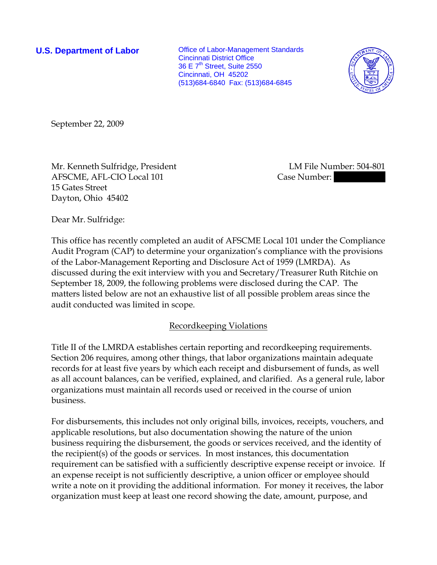**U.S. Department of Labor Conservative Conservative Conservative Conservative Conservative Conservative Conservative Conservative Conservative Conservative Conservative Conservative Conservative Conservative Conservative** Cincinnati District Office 36 E 7<sup>th</sup> Street, Suite 2550 Cincinnati, OH 45202 (513)684-6840 Fax: (513)684-6845



September 22, 2009

Mr. Kenneth Sulfridge, President LM File Number: 504-801 AFSCME, AFL-CIO Local 101 Case Number: 15 Gates Street Dayton, Ohio 45402

Dear Mr. Sulfridge:

This office has recently completed an audit of AFSCME Local 101 under the Compliance Audit Program (CAP) to determine your organization's compliance with the provisions of the Labor-Management Reporting and Disclosure Act of 1959 (LMRDA). As discussed during the exit interview with you and Secretary/Treasurer Ruth Ritchie on September 18, 2009, the following problems were disclosed during the CAP. The matters listed below are not an exhaustive list of all possible problem areas since the audit conducted was limited in scope.

## Recordkeeping Violations

Title II of the LMRDA establishes certain reporting and recordkeeping requirements. Section 206 requires, among other things, that labor organizations maintain adequate records for at least five years by which each receipt and disbursement of funds, as well as all account balances, can be verified, explained, and clarified. As a general rule, labor organizations must maintain all records used or received in the course of union business.

For disbursements, this includes not only original bills, invoices, receipts, vouchers, and applicable resolutions, but also documentation showing the nature of the union business requiring the disbursement, the goods or services received, and the identity of the recipient(s) of the goods or services. In most instances, this documentation requirement can be satisfied with a sufficiently descriptive expense receipt or invoice. If an expense receipt is not sufficiently descriptive, a union officer or employee should write a note on it providing the additional information. For money it receives, the labor organization must keep at least one record showing the date, amount, purpose, and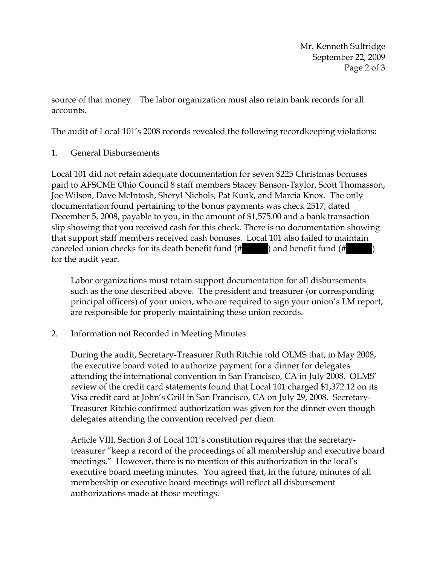Mr. Kenneth Sulfridge September 22, 2009 Page 2 of 3

source of that money. The labor organization must also retain bank records for all accounts.

The audit of Local 101's 2008 records revealed the following recordkeeping violations:

1. General Disbursements

Local 101 did not retain adequate documentation for seven \$225 Christmas bonuses paid to AFSCME Ohio Council 8 staff members Stacey Benson-Taylor, Scott Thomasson, Joe Wilson, Dave McIntosh, Sheryl Nichols, Pat Kunk, and Marcia Knox. The only documentation found pertaining to the bonus payments was check 2517, dated December 5, 2008, payable to you, in the amount of \$1,575.00 and a bank transaction slip showing that you received cash for this check. There is no documentation showing that support staff members received cash bonuses. Local 101 also failed to maintain canceled union checks for its death benefit fund  $(\#$  ||) and benefit fund  $(\#$ for the audit year.

Labor organizations must retain support documentation for all disbursements such as the one described above. The president and treasurer (or corresponding principal officers) of your union, who are required to sign your union's LM report, are responsible for properly maintaining these union records.

2. Information not Recorded in Meeting Minutes

During the audit, Secretary-Treasurer Ruth Ritchie told OLMS that, in May 2008, the executive board voted to authorize payment for a dinner for delegates attending the international convention in San Francisco, CA in July 2008. OLMS' review of the credit card statements found that Local 101 charged \$1,372.12 on its Visa credit card at John's Grill in San Francisco, CA on July 29, 2008. Secretary-Treasurer Ritchie confirmed authorization was given for the dinner even though delegates attending the convention received per diem.

Article VIII, Section 3 of Local 101's constitution requires that the secretarytreasurer "keep a record of the proceedings of all membership and executive board meetings." However, there is no mention of this authorization in the local's executive board meeting minutes. You agreed that, in the future, minutes of all membership or executive board meetings will reflect all disbursement authorizations made at those meetings.